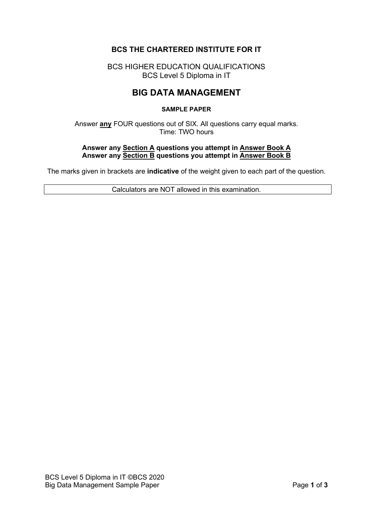# **BCS THE CHARTERED INSTITUTE FOR IT**

BCS HIGHER EDUCATION QUALIFICATIONS BCS Level 5 Diploma in IT

# **BIG DATA MANAGEMENT**

#### **SAMPLE PAPER**

Answer **any** FOUR questions out of SIX. All questions carry equal marks. Time: TWO hours

#### **Answer any Section A questions you attempt in Answer Book A Answer any Section B questions you attempt in Answer Book B**

The marks given in brackets are **indicative** of the weight given to each part of the question.

Calculators are NOT allowed in this examination.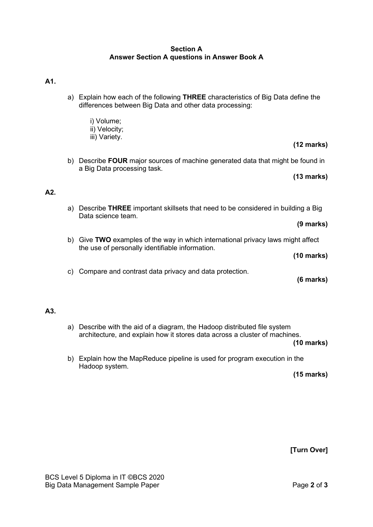### **Section A Answer Section A questions in Answer Book A**

### **A1.**

- a) Explain how each of the following **THREE** characteristics of Big Data define the differences between Big Data and other data processing:
	- i) Volume; ii) Velocity;
	- iii) Variety.
- **(12 marks)**
- b) Describe **FOUR** major sources of machine generated data that might be found in a Big Data processing task.

#### **(13 marks)**

# **A2.**

- a) Describe **THREE** important skillsets that need to be considered in building a Big Data science team.
- b) Give **TWO** examples of the way in which international privacy laws might affect the use of personally identifiable information.

**(10 marks)**

**(9 marks)**

c) Compare and contrast data privacy and data protection.

#### **(6 marks)**

## **A3.**

a) Describe with the aid of a diagram, the Hadoop distributed file system architecture, and explain how it stores data across a cluster of machines.

**(10 marks)**

b) Explain how the MapReduce pipeline is used for program execution in the Hadoop system.

**(15 marks)**

**[Turn Over]**